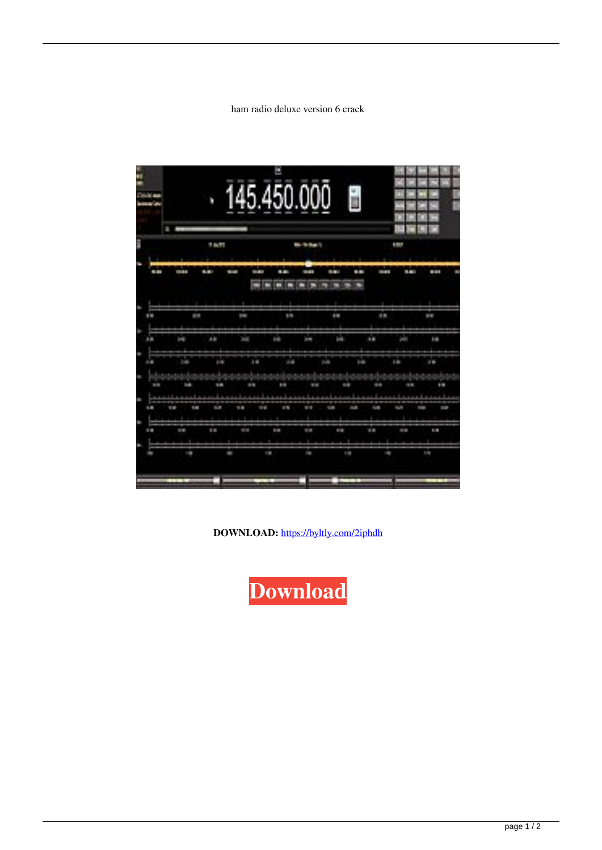## ham radio deluxe version 6 crack

|              | E                    |              |                                    |             |              |                                                        |                                  |                                                                                             |                   |  |
|--------------|----------------------|--------------|------------------------------------|-------------|--------------|--------------------------------------------------------|----------------------------------|---------------------------------------------------------------------------------------------|-------------------|--|
|              | a ma                 |              |                                    | in the l    |              |                                                        | m                                |                                                                                             |                   |  |
| <b>STATE</b> | ļ                    | 8 M W        | a na m<br>ı                        | a era       | ł            | 35,250                                                 | i.                               | a ma<br><b>STORY</b>                                                                        | and the           |  |
|              |                      |              |                                    | m           | m<br>m       | <b>The State</b><br>m                                  | m                                |                                                                                             |                   |  |
|              |                      |              |                                    |             |              |                                                        |                                  |                                                                                             |                   |  |
| Ŧ            | İ                    |              | Ħ                                  | <b>ISBN</b> |              | ī                                                      |                                  | H M                                                                                         | <b>STATE</b>      |  |
| h            | Ī                    | 通用           | <b>Della</b>                       | <b>Bill</b> | <b>JOHN</b>  | <b>Digita</b>                                          | m                                | <b>Septe</b>                                                                                | m                 |  |
|              |                      |              |                                    |             |              |                                                        |                                  |                                                                                             |                   |  |
| ■■           | 地震                   | <b>BIR</b>   | <b>IH</b>                          | <b>A</b>    |              | <b>ART</b>                                             | <b>THE</b>                       | m                                                                                           | <b>IN</b>         |  |
|              | <b>The Common</b>    |              | a complete a familiar and complete |             |              |                                                        |                                  | and the contract of the company of the contract of the contract of the contract of the con- | $\mathbf{r}$      |  |
| <b>START</b> | <b>Built</b>         | <b>STAR</b>  | 1919                               | 111         | <b>STATE</b> | <b>START</b>                                           |                                  | ł<br>2012                                                                                   | 14                |  |
|              |                      |              |                                    |             |              | <b>The Committee of the Committee of the Committee</b> |                                  |                                                                                             |                   |  |
| Ŧ            | <b>STOP</b><br>14.15 | <b>START</b> | 111<br>m                           | m           | <b>THE</b>   | <b>THE</b>                                             | <b>SANT</b><br><b>TELEVISION</b> | men                                                                                         | a m<br><b>TER</b> |  |
|              |                      |              |                                    |             |              |                                                        |                                  |                                                                                             |                   |  |
| 日田           | m                    | 1m           | <b>STAR</b>                        | m           | Ė            | E                                                      | <b>TELES</b>                     | <b>TELEVIS</b>                                                                              | ÷                 |  |

DOWNLOAD: https://byltly.com/2iphdh